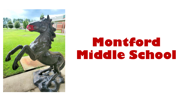

# **Montford Middle School**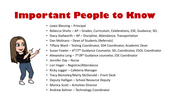# **Important People to Know**

- Lewis Blessing Principal
- Rebecca Shultz AP Grades, Curriculum, Celebrations, ESE, Guidance, SEL
- [Stacy](https://chrome.google.com/webstore/detail/bitmoji/bfgdeiadkckfbkeigkoncpdieiiefpig) Stallworth AP Discipline, Attendance, Transportation
- Dan Molinaro Dean of Students (Referrals)
- Tiffany Ward Testing Coordinator, 504 Coordinator, Academic Dean
- Susan Fowler 6<sup>th</sup>/7<sup>th</sup> Guidance Counselor, SEL Coordinator, ESOL Coordinator
- Alexandra Long 7<sup>th</sup>/8<sup>th</sup> Guidance counselor, ESE Coordinator
- Jennifer Day Nurse
- Lori Hager Registrar/Attendance
- Ricky Jugger Cafeteria Manager
- Tracy Blomeley/Marty McDonald Front Desk
- Deputy Halligan School Resource Deputy
- Monica Scott Activities Director
- Andrew Keltner Technology Coordinator

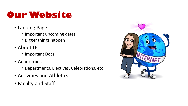# **Our Website**

- Landing Page
	- Important upcoming dates
	- Bigger things happen
- About Us
	- Important Docs
- Academics
	- Departments, Electives, Celebrations, etc
- Activities and Athletics
- Faculty and Staff

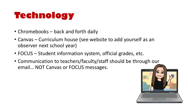# **Technology**

- Chromebooks back and forth daily
- Canvas Curriculum house (see website to add yourself as an observer next school year)
- FOCUS Student information system, official grades, etc.
- Communication to teachers/faculty/staff should be t[hrough our](https://chrome.google.com/webstore/detail/bitmoji/bfgdeiadkckfbkeigkoncpdieiiefpig)  email… NOT Canvas or FOCUS messages.

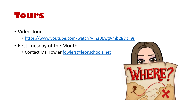

- Video Tour
	- <https://www.youtube.com/watch?v=Zs00wgVmb28&t=9s>
- First Tuesday of the Month
	- Contact Ms. Fowler [fowlers@leonschools.net](mailto:fowlers@leonschools.net)

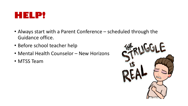

- Always start with a Parent Conference scheduled through the Guidance office.
- Before school teacher help
- Mental Health Counselor New Horizons
- MTSS Team

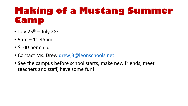# **Making of a Mustang Summer Camp**

- July  $25^{th}$  July  $28^{th}$
- 9am 11:45am
- \$100 per child
- Contact Ms. Drew [drewj3@leonschools.net](mailto:drewj3@leonschools.net)
- See the campus before school starts, make new friends, meet teachers and staff, have some fun!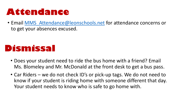### **Attendance**

• Email MMS Attendance@leonschools.net for attendance concerns or to get your absences excused.

#### **Dismissal**

- Does your student need to ride the bus home with a friend? Email Ms. Blomeley and Mr. McDonald at the front desk to get a bus pass.
- Car Riders we do not check ID's or pick-up tags. We do not need to know if your student is riding home with someone different that day. Your student needs to know who is safe to go home with.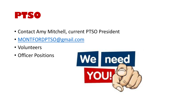

- Contact Amy Mitchell, current PTSO President
- [MONTFORDPTSO@gmail.com](mailto:MONTFORDPTSO@gmail.com)
- Volunteers
- Officer Positions

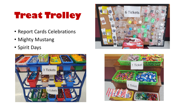# **Treat Trolley**

- Report Cards Celebrations
- Mighty Mustang
- Spirit Days





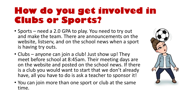# **How do you get involved in Clubs or Sports?**

- Sports need a 2.0 GPA to play. You need to try out and make the team. There are announcements on the website, listserv, and on the school news when a sport is having try outs.
- Clubs anyone can join a club! Just show up! They meet before school at 8:45am. Their meeting days are on the website and posted on the school news. If there is a club you would want to start that we don't already have, all you have to do is ask a teacher to sponsor it!
- You can join more than one sport or club at the same time.

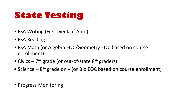#### **State Testing**

- FSA Writing (First week of April)
- FSA Reading
- FSA Math (or Algebra EOC/Geometry EOC based on course enrollment)
- Civics 7<sup>th</sup> grade (or out-of-state 8<sup>th</sup> graders)
- Science 8<sup>th</sup> grade only (or Bio EOC based on course enrollment)
- Progress Monitoring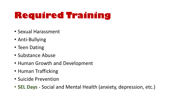# **Required Training**

- Sexual Harassment
- Anti-Bullying
- Teen Dating
- Substance Abuse
- Human Growth and Development
- Human Trafficking
- Suicide Prevention
- **SEL Days**  Social and Mental Health (anxiety, depression, etc.)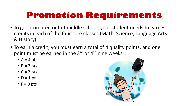# **Promotion Requirements**

- To get promoted out of middle school, your student needs to earn 3 credits in each of the four core classes (Math, Science, Language Arts & History).
- To earn a credit, you must earn a total of 4 quality points, and one point must be earned in the 3<sup>rd</sup> or 4<sup>th</sup> nine weeks.
	- $A = 4$  pts
	- $\bullet$  B = 3 pts
	- $C = 2$  pts
	- $\bullet$  D = 1 pt
	- $F = 0$  pts

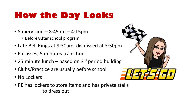# **How the Day Looks**

- Supervision  $-8:45$ am  $-4:15$ pm
	- Before/After school program
- Late Bell Rings at 9:30am, dismissed at 3:50p[m](https://chrome.google.com/webstore/detail/bitmoji/bfgdeiadkckfbkeigkoncpdieiiefpig)
- 6 classes, 5 minutes transition
- 25 minute lunch based on  $3<sup>rd</sup>$  period building
- Clubs/Practice are usually before school
- No Lockers
- PE has lockers to store items and has private stalls to dress out

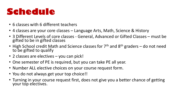## **Schedule**

- 6 classes with 6 different teachers
- 4 classes are your core classes Language Arts, Math, Science & History
- 3 Different Levels of core classes General, Advanced or Gifted Classes must be gifted to be in gifted classes
- High School credit Math and Science classes for  $7<sup>th</sup>$  and  $8<sup>th</sup>$  graders do not need to be gifted to qualify
- 2 classes are electives you can pick!
- One semester of PE is required, but you can take PE all year.
- Number ALL elective choices on your course request form.
- You do not always get your top choice!!
- Turning in your course request first, does not give you a better chance of getting your top electives.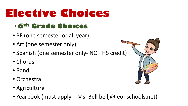# **Elective Choices**

#### • **6th Grade Choices**

- PE (one semester or all year)
- Art (one semester only)
- Spanish (one semester only- NOT HS credit)
- Chorus
- Band
- Orchestra
- Agriculture
- Yearbook (must apply Ms. Bell bellj@leonschools.net)

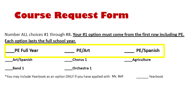# **Course Request Form**

Number ALL choices #1 through #8. Your #1 option must come from the first row including PE. Each option lasts the full school year.

| <b>PE Full Year</b> | <b>PE/Art</b>   | PE/Spanish  |
|---------------------|-----------------|-------------|
| _Art/Spanish        | <b>Chorus 1</b> | Agriculture |
| <b>Band 1</b>       | Orchestra 1     |             |

\*You may include Yearbook as an option ONLY if you have applied with Ms. Bell Yearbook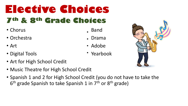# **Elective Choices 7th & 8th Grade Choices**

- Chorus **Band**
- Orchestra **Drama** Drama
- Art Adobe
- Digital Tools Yearbook
- Art for High School Credit
- Music Theatre for High School Credit
- Spanish 1 and 2 for High School Credit (you do not have to take the 6<sup>th</sup> grade Spanish to take Spanish 1 in 7<sup>th</sup> or 8<sup>th</sup> grade)